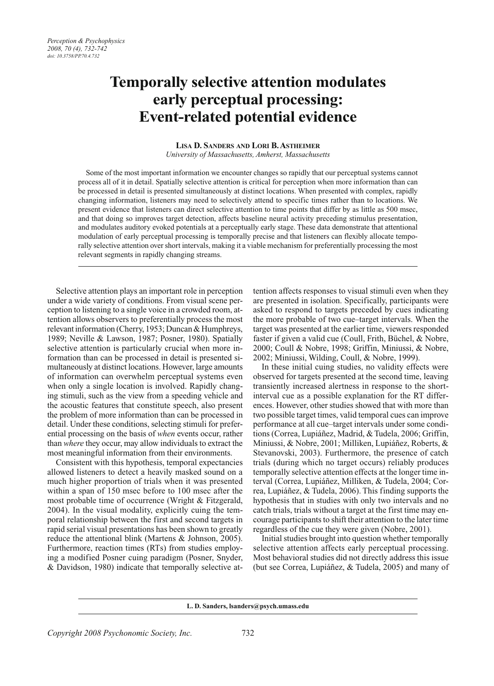# **Temporally selective attention modulates early perceptual processing: Event-related potential evidence**

# **LISA D. SANDERS AND LORI B. ASTHEIMER**

*University of Massachusetts, Amherst, Massachusetts*

Some of the most important information we encounter changes so rapidly that our perceptual systems cannot process all of it in detail. Spatially selective attention is critical for perception when more information than can be processed in detail is presented simultaneously at distinct locations. When presented with complex, rapidly changing information, listeners may need to selectively attend to specific times rather than to locations. We present evidence that listeners can direct selective attention to time points that differ by as little as 500 msec, and that doing so improves target detection, affects baseline neural activity preceding stimulus presentation, and modulates auditory evoked potentials at a perceptually early stage. These data demonstrate that attentional modulation of early perceptual processing is temporally precise and that listeners can flexibly allocate temporally selective attention over short intervals, making it a viable mechanism for preferentially processing the most relevant segments in rapidly changing streams.

Selective attention plays an important role in perception under a wide variety of conditions. From visual scene perception to listening to a single voice in a crowded room, attention allows observers to preferentially process the most relevant information (Cherry, 1953; Duncan & Humphreys, 1989; Neville & Lawson, 1987; Posner, 1980). Spatially selective attention is particularly crucial when more information than can be processed in detail is presented simultaneously at distinct locations. However, large amounts of information can overwhelm perceptual systems even when only a single location is involved. Rapidly changing stimuli, such as the view from a speeding vehicle and the acoustic features that constitute speech, also present the problem of more information than can be processed in detail. Under these conditions, selecting stimuli for preferential processing on the basis of *when* events occur, rather than *where* they occur, may allow individuals to extract the most meaningful information from their environments.

Consistent with this hypothesis, temporal expectancies allowed listeners to detect a heavily masked sound on a much higher proportion of trials when it was presented within a span of 150 msec before to 100 msec after the most probable time of occurrence (Wright & Fitzgerald, 2004). In the visual modality, explicitly cuing the temporal relationship between the first and second targets in rapid serial visual presentations has been shown to greatly reduce the attentional blink (Martens & Johnson, 2005). Furthermore, reaction times (RTs) from studies employing a modified Posner cuing paradigm (Posner, Snyder, & Davidson, 1980) indicate that temporally selective attention affects responses to visual stimuli even when they are presented in isolation. Specifically, participants were asked to respond to targets preceded by cues indicating the more probable of two cue–target intervals. When the target was presented at the earlier time, viewers responded faster if given a valid cue (Coull, Frith, Büchel, & Nobre, 2000; Coull & Nobre, 1998; Griffin, Miniussi, & Nobre, 2002; Miniussi, Wilding, Coull, & Nobre, 1999).

In these initial cuing studies, no validity effects were observed for targets presented at the second time, leaving transiently increased alertness in response to the shortinterval cue as a possible explanation for the RT differences. However, other studies showed that with more than two possible target times, valid temporal cues can improve performance at all cue–target intervals under some conditions (Correa, Lupiáñez, Madrid, & Tudela, 2006; Griffin, Miniussi, & Nobre, 2001; Milliken, Lupiáñez, Roberts, & Stevanovski, 2003). Furthermore, the presence of catch trials (during which no target occurs) reliably produces temporally selective attention effects at the longer time interval (Correa, Lupiáñez, Milliken, & Tudela, 2004; Correa, Lupiáñez, & Tudela, 2006). This finding supports the hypothesis that in studies with only two intervals and no catch trials, trials without a target at the first time may encourage participants to shift their attention to the later time regardless of the cue they were given (Nobre, 2001).

Initial studies brought into question whether temporally selective attention affects early perceptual processing. Most behavioral studies did not directly address this issue (but see Correa, Lupiáñez, & Tudela, 2005) and many of

**L. D. Sanders, lsanders@psych.umass.edu**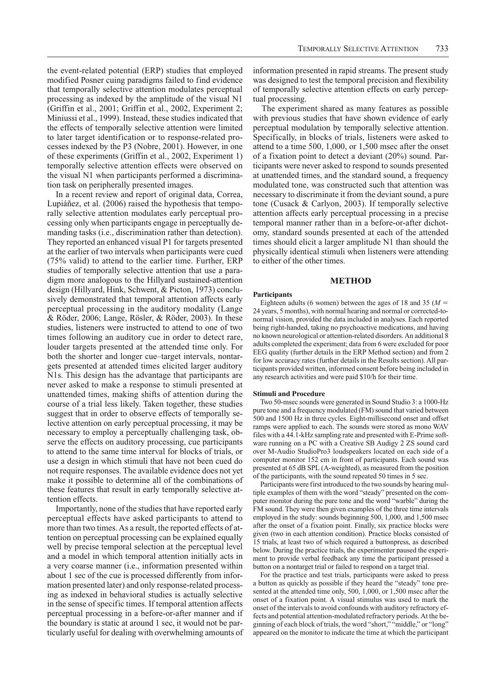the event-related potential (ERP) studies that employed modified Posner cuing paradigms failed to find evidence that temporally selective attention modulates perceptual processing as indexed by the amplitude of the visual N1 (Griffin et al., 2001; Griffin et al., 2002, Experiment 2; Miniussi et al., 1999). Instead, these studies indicated that the effects of temporally selective attention were limited to later target identification or to response-related processes indexed by the P3 (Nobre, 2001). However, in one of these experiments (Griffin et al., 2002, Experiment 1) temporally selective attention effects were observed on the visual N1 when participants performed a discrimination task on peripherally presented images.

In a recent review and report of original data, Correa, Lupiáñez, et al. (2006) raised the hypothesis that temporally selective attention modulates early perceptual processing only when participants engage in perceptually demanding tasks (i.e., discrimination rather than detection). They reported an enhanced visual P1 for targets presented at the earlier of two intervals when participants were cued (75% valid) to attend to the earlier time. Further, ERP studies of temporally selective attention that use a paradigm more analogous to the Hillyard sustained-attention design (Hillyard, Hink, Schwent, & Picton, 1973) conclusively demonstrated that temporal attention affects early perceptual processing in the auditory modality (Lange & Röder, 2006; Lange, Rösler, & Röder, 2003). In these studies, listeners were instructed to attend to one of two times following an auditory cue in order to detect rare, louder targets presented at the attended time only. For both the shorter and longer cue–target intervals, nontargets presented at attended times elicited larger auditory N1s. This design has the advantage that participants are never asked to make a response to stimuli presented at unattended times, making shifts of attention during the course of a trial less likely. Taken together, these studies suggest that in order to observe effects of temporally selective attention on early perceptual processing, it may be necessary to employ a perceptually challenging task, observe the effects on auditory processing, cue participants to attend to the same time interval for blocks of trials, or use a design in which stimuli that have not been cued do not require responses. The available evidence does not yet make it possible to determine all of the combinations of these features that result in early temporally selective attention effects.

Importantly, none of the studies that have reported early perceptual effects have asked participants to attend to more than two times. As a result, the reported effects of attention on perceptual processing can be explained equally well by precise temporal selection at the perceptual level and a model in which temporal attention initially acts in a very coarse manner (i.e., information presented within about 1 sec of the cue is processed differently from information presented later) and only response-related processing as indexed in behavioral studies is actually selective in the sense of specific times. If temporal attention affects perceptual processing in a before-or-after manner and if the boundary is static at around 1 sec, it would not be particularly useful for dealing with overwhelming amounts of information presented in rapid streams. The present study was designed to test the temporal precision and flexibility of temporally selective attention effects on early perceptual processing.

The experiment shared as many features as possible with previous studies that have shown evidence of early perceptual modulation by temporally selective attention. Specifically, in blocks of trials, listeners were asked to attend to a time 500, 1,000, or 1,500 msec after the onset of a fixation point to detect a deviant (20%) sound. Participants were never asked to respond to sounds presented at unattended times, and the standard sound, a frequency modulated tone, was constructed such that attention was necessary to discriminate it from the deviant sound, a pure tone (Cusack & Carlyon, 2003). If temporally selective attention affects early perceptual processing in a precise temporal manner rather than in a before-or-after dichotomy, standard sounds presented at each of the attended times should elicit a larger amplitude N1 than should the physically identical stimuli when listeners were attending to either of the other times.

## **METHOD**

### **Participants**

Eighteen adults (6 women) between the ages of 18 and 35 ( $M =$ 24 years, 5 months), with normal hearing and normal or corrected-tonormal vision, provided the data included in analyses. Each reported being right-handed, taking no psychoactive medications, and having no known neurological or attention-related disorders. An additional 8 adults completed the experiment; data from 6 were excluded for poor EEG quality (further details in the ERP Method section) and from 2 for low accuracy rates (further details in the Results section). All participants provided written, informed consent before being included in any research activities and were paid \$10/h for their time.

# **Stimuli and Procedure**

Two 50-msec sounds were generated in Sound Studio 3: a 1000-Hz pure tone and a frequency modulated (FM) sound that varied between 500 and 1500 Hz in three cycles. Eight-millisecond onset and offset ramps were applied to each. The sounds were stored as mono WAV files with a 44.1-kHz sampling rate and presented with E-Prime software running on a PC with a Creative SB Audigy 2 ZS sound card over M-Audio StudioPro3 loudspeakers located on each side of a computer monitor 152 cm in front of participants. Each sound was presented at 65 dB SPL (A-weighted), as measured from the position of the participants, with the sound repeated 50 times in 5 sec.

Participants were first introduced to the two sounds by hearing multiple examples of them with the word "steady" presented on the computer monitor during the pure tone and the word "warble" during the FM sound. They were then given examples of the three time intervals employed in the study: sounds beginning 500, 1,000, and 1,500 msec after the onset of a fixation point. Finally, six practice blocks were given (two in each attention condition). Practice blocks consisted of 15 trials, at least two of which required a buttonpress, as described below. During the practice trials, the experimenter paused the experiment to provide verbal feedback any time the participant pressed a button on a nontarget trial or failed to respond on a target trial.

For the practice and test trials, participants were asked to press a button as quickly as possible if they heard the "steady" tone presented at the attended time only, 500, 1,000, or 1,500 msec after the onset of a fixation point. A visual stimulus was used to mark the onset of the intervals to avoid confounds with auditory refractory effects and potential attention-modulated refractory periods. At the beginning of each block of trials, the word "short," "middle," or "long" appeared on the monitor to indicate the time at which the participant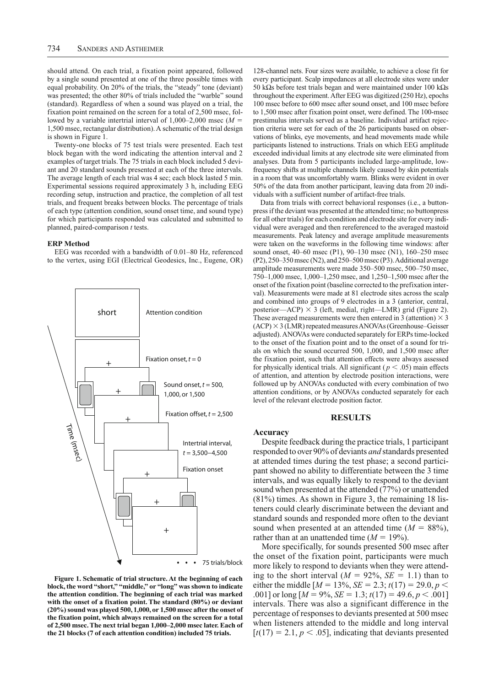should attend. On each trial, a fixation point appeared, followed by a single sound presented at one of the three possible times with equal probability. On 20% of the trials, the "steady" tone (deviant) was presented; the other 80% of trials included the "warble" sound (standard). Regardless of when a sound was played on a trial, the fixation point remained on the screen for a total of 2,500 msec, followed by a variable intertrial interval of 1,000–2,000 msec (*M* 1,500 msec, rectangular distribution). A schematic of the trial design is shown in Figure 1.

Twenty-one blocks of 75 test trials were presented. Each test block began with the word indicating the attention interval and 2 examples of target trials. The 75 trials in each block included 5 deviant and 20 standard sounds presented at each of the three intervals. The average length of each trial was 4 sec; each block lasted 5 min. Experimental sessions required approximately 3 h, including EEG recording setup, instruction and practice, the completion of all test trials, and frequent breaks between blocks. The percentage of trials of each type (attention condition, sound onset time, and sound type) for which participants responded was calculated and submitted to planned, paired-comparison *t* tests.

#### **ERP Method**

EEG was recorded with a bandwidth of 0.01–80 Hz, referenced to the vertex, using EGI (Electrical Geodesics, Inc., Eugene, OR)



**Figure 1. Schematic of trial structure. At the beginning of each block, the word "short," "middle," or "long" was shown to indicate the attention condition. The beginning of each trial was marked with the onset of a fixation point. The standard (80%) or deviant (20%) sound was played 500, 1,000, or 1,500 msec after the onset of the fixation point, which always remained on the screen for a total of 2,500 msec. The next trial began 1,000–2,000 msec later. Each of the 21 blocks (7 of each attention condition) included 75 trials.**

128- channel nets. Four sizes were available, to achieve a close fit for every participant. Scalp impedances at all electrode sites were under 50 k $\Omega$ s before test trials began and were maintained under 100 k $\Omega$ s throughout the experiment. After EEG was digitized (250 Hz), epochs 100 msec before to 600 msec after sound onset, and 100 msec before to 1,500 msec after fixation point onset, were defined. The 100-msec prestimulus intervals served as a baseline. Individual artifact rejection criteria were set for each of the 26 participants based on observations of blinks, eye movements, and head movements made while participants listened to instructions. Trials on which EEG amplitude exceeded individual limits at any electrode site were eliminated from analyses. Data from 5 participants included large-amplitude, low frequency shifts at multiple channels likely caused by skin potentials in a room that was uncomfortably warm. Blinks were evident in over 50% of the data from another participant, leaving data from 20 individuals with a sufficient number of artifact-free trials.

Data from trials with correct behavioral responses (i.e., a buttonpress if the deviant was presented at the attended time; no buttonpress for all other trials) for each condition and electrode site for every individual were averaged and then rereferenced to the averaged mastoid measurements. Peak latency and average amplitude measurements were taken on the waveforms in the following time windows: after sound onset, 40–60 msec (P1), 90–130 msec (N1), 160–250 msec (P2), 250–350 msec (N2), and 250–500 msec (P3). Additional average amplitude measurements were made 350–500 msec, 500–750 msec, 750–1,000 msec, 1,000–1,250 msec, and 1,250–1,500 msec after the onset of the fixation point (baseline corrected to the prefixation interval). Measurements were made at 81 electrode sites across the scalp and combined into groups of 9 electrodes in a 3 (anterior, central, posterior—ACP)  $\times$  3 (left, medial, right—LMR) grid (Figure 2). These averaged measurements were then entered in 3 (attention)  $\times$  3  $(ACP) \times 3$  (LMR) repeated measures ANOVAs (Greenhouse–Geisser adjusted). ANOVAs were conducted separately for ERPs time-locked to the onset of the fixation point and to the onset of a sound for trials on which the sound occurred 500, 1,000, and 1,500 msec after the fixation point, such that attention effects were always assessed for physically identical trials. All significant ( $p < .05$ ) main effects of attention, and attention by electrode position interactions, were followed up by ANOVAs conducted with every combination of two attention conditions, or by ANOVAs conducted separately for each level of the relevant electrode position factor.

## **RESULTS**

## **Accuracy**

Despite feedback during the practice trials, 1 participant responded to over 90% of deviants *and* standards presented at attended times during the test phase; a second participant showed no ability to differentiate between the 3 time intervals, and was equally likely to respond to the deviant sound when presented at the attended (77%) or unattended (81%) times. As shown in Figure 3, the remaining 18 listeners could clearly discriminate between the deviant and standard sounds and responded more often to the deviant sound when presented at an attended time  $(M = 88\%)$ , rather than at an unattended time  $(M = 19\%)$ .

More specifically, for sounds presented 500 msec after the onset of the fixation point, participants were much more likely to respond to deviants when they were attending to the short interval  $(M = 92\%, SE = 1.1)$  than to either the middle  $[M = 13\%, SE = 2.3; t(17) = 29.0, p <$ .001] or long  $[M = 9\%, SE = 1.3; t(17) = 49.6, p < .001]$ intervals. There was also a significant difference in the percentage of responses to deviants presented at 500 msec when listeners attended to the middle and long interval  $[t(17) = 2.1, p < .05]$ , indicating that deviants presented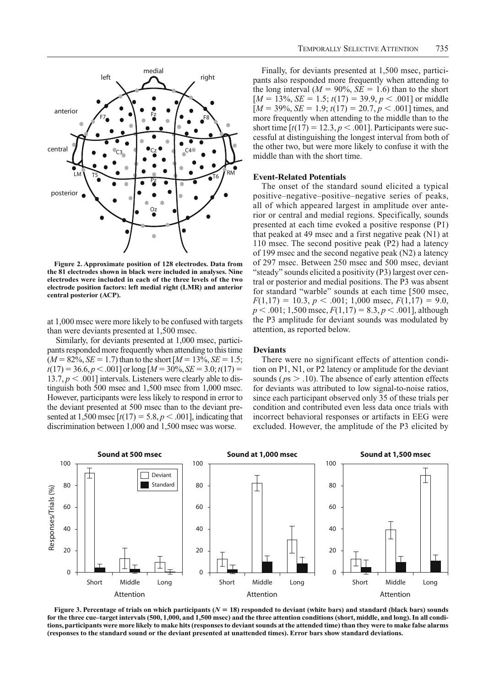

**Figure 2. Approximate position of 128 electrodes. Data from the 81 electrodes shown in black were included in analyses. Nine electrodes were included in each of the three levels of the two electrode position factors: left medial right (LMR) and anterior central posterior (ACP).**

at 1,000 msec were more likely to be confused with targets than were deviants presented at 1,500 msec.

Similarly, for deviants presented at 1,000 msec, participants responded more frequently when attending to this time  $(M = 82\%, SE = 1.7)$  than to the short  $[M = 13\%, SE = 1.5;$  $t(17) = 36.6, p < .001$  or long  $M = 30\%$ , *SE* = 3.0;  $t(17) =$ 13.7,  $p < .001$ ] intervals. Listeners were clearly able to distinguish both 500 msec and 1,500 msec from 1,000 msec. However, participants were less likely to respond in error to the deviant presented at 500 msec than to the deviant presented at 1,500 msec  $[t(17) = 5.8, p < .001]$ , indicating that discrimination between 1,000 and 1,500 msec was worse.

Finally, for deviants presented at 1,500 msec, participants also responded more frequently when attending to the long interval ( $M = 90\%$ ,  $S\overline{E} = 1.6$ ) than to the short  $[M = 13\%, SE = 1.5; t(17) = 39.9, p < .001]$  or middle  $[M = 39\%, SE = 1.9; t(17) = 20.7, p < .001]$  times, and more frequently when attending to the middle than to the short time  $[t(17) = 12.3, p < .001]$ . Participants were successful at distinguishing the longest interval from both of the other two, but were more likely to confuse it with the middle than with the short time.

# **Event-Related Potentials**

The onset of the standard sound elicited a typical positive– negative–positive–negative series of peaks, all of which appeared largest in amplitude over anterior or central and medial regions. Specifically, sounds presented at each time evoked a positive response (P1) that peaked at 49 msec and a first negative peak (N1) at 110 msec. The second positive peak (P2) had a latency of 199 msec and the second negative peak (N2) a latency of 297 msec. Between 250 msec and 500 msec, deviant "steady" sounds elicited a positivity (P3) largest over central or posterior and medial positions. The P3 was absent for standard "warble" sounds at each time [500 msec,  $F(1,17) = 10.3, p < .001; 1,000$  msec,  $F(1,17) = 9.0$ ,  $p < .001$ ; 1,500 msec,  $F(1,17) = 8.3$ ,  $p < .001$ ], although the P3 amplitude for deviant sounds was modulated by attention, as reported below.

## **Deviants**

There were no significant effects of attention condition on P1, N1, or P2 latency or amplitude for the deviant sounds ( $ps > .10$ ). The absence of early attention effects for deviants was attributed to low signal-to-noise ratios, since each participant observed only 35 of these trials per condition and contributed even less data once trials with incorrect behavioral responses or artifacts in EEG were excluded. However, the amplitude of the P3 elicited by



**Figure 3. Percentage of trials on which participants (***N*  **18) responded to deviant (white bars) and standard (black bars) sounds for the three cue–target intervals (500, 1,000, and 1,500 msec) and the three attention conditions (short, middle, and long). In all conditions, participants were more likely to make hits (responses to deviant sounds at the attended time) than they were to make false alarms (responses to the standard sound or the deviant presented at unattended times). Error bars show standard deviations.**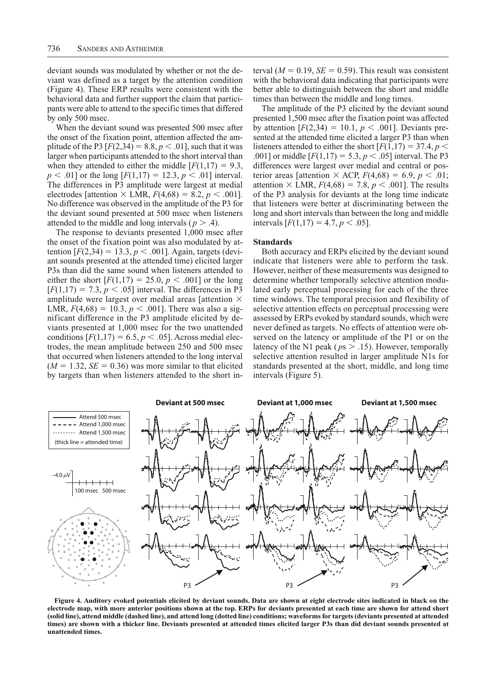deviant sounds was modulated by whether or not the deviant was defined as a target by the attention condition (Figure 4). These ERP results were consistent with the behavioral data and further support the claim that participants were able to attend to the specific times that differed by only 500 msec.

When the deviant sound was presented 500 msec after the onset of the fixation point, attention affected the amplitude of the P3  $[F(2,34) = 8.8, p < .01]$ , such that it was larger when participants attended to the short interval than when they attended to either the middle  $[F(1,17) = 9.3]$ ,  $p < .01$  or the long  $[F(1,17) = 12.3, p < .01]$  interval. The differences in P3 amplitude were largest at medial electrodes [attention  $\times$  LMR,  $F(4,68) = 8.2$ ,  $p < .001$ ]. No difference was observed in the amplitude of the P3 for the deviant sound presented at 500 msec when listeners attended to the middle and long intervals ( $p > .4$ ).

The response to deviants presented 1,000 msec after the onset of the fixation point was also modulated by attention  $[F(2,34) = 13.3, p < .001]$ . Again, targets (deviant sounds presented at the attended time) elicited larger P3s than did the same sound when listeners attended to either the short  $[F(1,17) = 25.0, p < .001]$  or the long  $[F(1,17) = 7.3, p < .05]$  interval. The differences in P3 amplitude were largest over medial areas [attention  $\times$ LMR,  $F(4,68) = 10.3$ ,  $p < .001$ . There was also a significant difference in the P3 amplitude elicited by deviants presented at 1,000 msec for the two unattended conditions  $[F(1,17) = 6.5, p < .05]$ . Across medial electrodes, the mean amplitude between 250 and 500 msec that occurred when listeners attended to the long interval  $(M = 1.32, SE = 0.36)$  was more similar to that elicited by targets than when listeners attended to the short interval ( $M = 0.19$ ,  $SE = 0.59$ ). This result was consistent with the behavioral data indicating that participants were better able to distinguish between the short and middle times than between the middle and long times.

The amplitude of the P3 elicited by the deviant sound presented 1,500 msec after the fixation point was affected by attention  $[F(2.34) = 10.1, p < .001]$ . Deviants presented at the attended time elicited a larger P3 than when listeners attended to either the short  $[F(1,17) = 37.4, p <$ .001] or middle  $[F(1,17) = 5.3, p < .05]$  interval. The P3 differences were largest over medial and central or posterior areas [attention  $\times$  ACP,  $F(4,68) = 6.9$ ,  $p < .01$ ; attention  $\times$  LMR,  $F(4,68) = 7.8$ ,  $p < .001$ . The results of the P3 analysis for deviants at the long time indicate that listeners were better at discriminating between the long and short intervals than between the long and middle intervals  $[F(1,17) = 4.7, p < .05]$ .

## **Standards**

Both accuracy and ERPs elicited by the deviant sound indicate that listeners were able to perform the task. However, neither of these measurements was designed to determine whether temporally selective attention modulated early perceptual processing for each of the three time windows. The temporal precision and flexibility of selective attention effects on perceptual processing were assessed by ERPs evoked by standard sounds, which were never defined as targets. No effects of attention were observed on the latency or amplitude of the P1 or on the latency of the N1 peak ( $ps > .15$ ). However, temporally selective attention resulted in larger amplitude N1s for standards presented at the short, middle, and long time intervals (Figure 5).



**Figure 4. Auditory evoked potentials elicited by deviant sounds. Data are shown at eight electrode sites indicated in black on the electrode map, with more anterior positions shown at the top. ERPs for deviants presented at each time are shown for attend short (solid line), attend middle (dashed line), and attend long (dotted line) conditions; waveforms for targets (deviants presented at attended times) are shown with a thicker line. Deviants presented at attended times elicited larger P3s than did deviant sounds presented at unattended times.**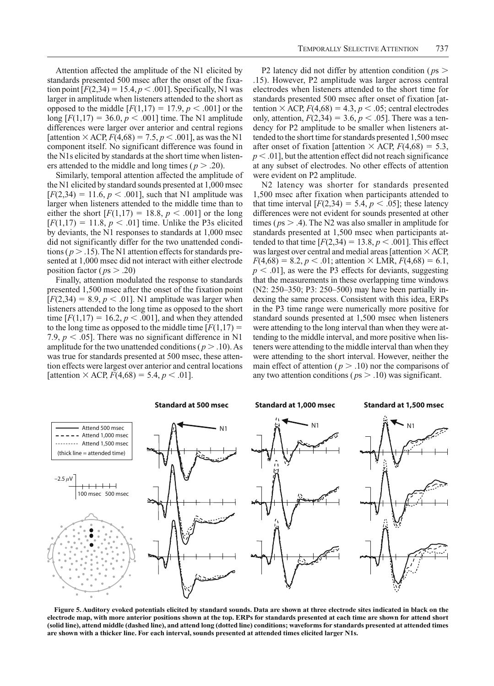Attention affected the amplitude of the N1 elicited by standards presented 500 msec after the onset of the fixation point  $\int F(2,34) = 15.4$ ,  $p < .001$ . Specifically, N1 was larger in amplitude when listeners attended to the short as opposed to the middle  $[F(1,17) = 17.9, p < .001]$  or the long  $[F(1,17) = 36.0, p < .001]$  time. The N1 amplitude differences were larger over anterior and central regions [attention  $\times$  ACP,  $F(4,68) = 7.5$ ,  $p < .001$ ], as was the N1 component itself. No significant difference was found in the N1s elicited by standards at the short time when listen-

ers attended to the middle and long times ( $p > .20$ ). Similarly, temporal attention affected the amplitude of the N1 elicited by standard sounds presented at 1,000 msec  $[F(2,34) = 11.6, p < .001]$ , such that N1 amplitude was larger when listeners attended to the middle time than to either the short  $[F(1,17) = 18.8, p < .001]$  or the long  $[F(1,17) = 11.8, p < .01]$  time. Unlike the P3s elicited by deviants, the N1 responses to standards at 1,000 msec did not significantly differ for the two unattended conditions ( $p > .15$ ). The N1 attention effects for standards presented at 1,000 msec did not interact with either electrode position factor ( $p$ s  $> .20$ )

Finally, attention modulated the response to standards presented 1,500 msec after the onset of the fixation point  $[F(2,34) = 8.9, p < .01]$ . N1 amplitude was larger when listeners attended to the long time as opposed to the short time  $[F(1,17) = 16.2, p < .001]$ , and when they attended to the long time as opposed to the middle time  $[F(1,17)] =$ 7.9,  $p < .05$ ]. There was no significant difference in N1 amplitude for the two unattended conditions ( $p > .10$ ). As was true for standards presented at 500 msec, these attention effects were largest over anterior and central locations [attention  $\times$  ACP,  $F(4,68) = 5.4, p < .01$ ].

P2 latency did not differ by attention condition ( *p*s .15). However, P2 amplitude was larger across central electrodes when listeners attended to the short time for standards presented 500 msec after onset of fixation [attention  $\times$  ACP,  $F(4,68) = 4.3$ ,  $p < .05$ ; central electrodes only, attention,  $F(2,34) = 3.6$ ,  $p < .05$ ]. There was a tendency for P2 amplitude to be smaller when listeners attended to the short time for standards presented 1,500 msec after onset of fixation [attention  $\times$  ACP,  $F(4,68) = 5.3$ ,  $p < .01$ ], but the attention effect did not reach significance at any subset of electrodes. No other effects of attention were evident on P2 amplitude.

N2 latency was shorter for standards presented 1,500 msec after fixation when participants attended to that time interval  $[F(2,34) = 5.4, p < .05]$ ; these latency differences were not evident for sounds presented at other times ( $p_s > .4$ ). The N2 was also smaller in amplitude for standards presented at 1,500 msec when participants attended to that time  $[F(2,34) = 13.8, p < .001]$ . This effect was largest over central and medial areas [attention  $\times$  ACP,  $F(4,68) = 8.2, p < .01$ ; attention  $\times$  LMR,  $F(4,68) = 6.1$ ,  $p \leq .01$ , as were the P3 effects for deviants, suggesting that the measurements in these overlapping time windows (N2: 250–350; P3: 250–500) may have been partially indexing the same process. Consistent with this idea, ERPs in the P3 time range were numerically more positive for standard sounds presented at 1,500 msec when listeners were attending to the long interval than when they were attending to the middle interval, and more positive when listeners were attending to the middle interval than when they were attending to the short interval. However, neither the main effect of attention ( $p > .10$ ) nor the comparisons of any two attention conditions ( $p s > .10$ ) was significant.



**Figure 5. Auditory evoked potentials elicited by standard sounds. Data are shown at three electrode sites indicated in black on the electrode map, with more anterior positions shown at the top. ERPs for standards presented at each time are shown for attend short (solid line), attend middle (dashed line), and attend long (dotted line) conditions; waveforms for standards presented at attended times are shown with a thicker line. For each interval, sounds presented at attended times elicited larger N1s.**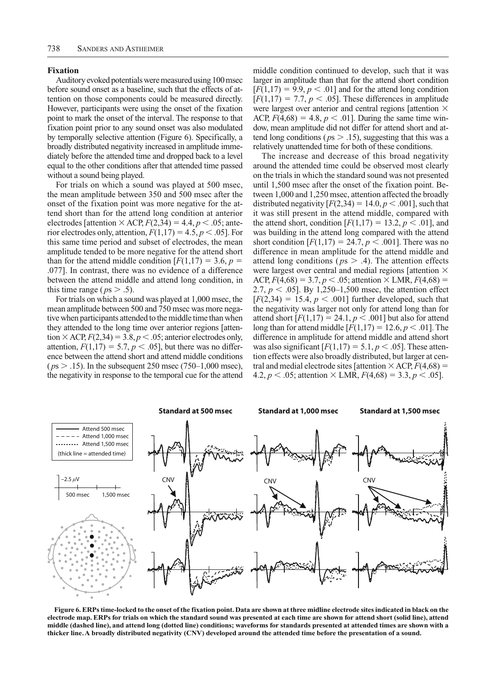# **Fixation**

Auditory evoked potentials were measured using 100 msec before sound onset as a baseline, such that the effects of attention on those components could be measured directly. However, participants were using the onset of the fixation point to mark the onset of the interval. The response to that fixation point prior to any sound onset was also modulated by temporally selective attention (Figure 6). Specifically, a broadly distributed negativity increased in amplitude immediately before the attended time and dropped back to a level equal to the other conditions after that attended time passed without a sound being played.

For trials on which a sound was played at 500 msec, the mean amplitude between 350 and 500 msec after the onset of the fixation point was more negative for the attend short than for the attend long condition at anterior electrodes [attention  $\times$  ACP,  $F(2,34) = 4.4, p < .05$ ; anterior electrodes only, attention,  $F(1,17) = 4.5$ ,  $p < .05$ . For this same time period and subset of electrodes, the mean amplitude tended to be more negative for the attend short than for the attend middle condition  $[F(1,17) = 3.6, p =$ .077]. In contrast, there was no evidence of a difference between the attend middle and attend long condition, in this time range ( $ps > .5$ ).

For trials on which a sound was played at 1,000 msec, the mean amplitude between 500 and 750 msec was more negative when participants attended to the middle time than when they attended to the long time over anterior regions [attention  $\times$  ACP,  $F(2,34) = 3.8, p < .05$ ; anterior electrodes only, attention,  $F(1,17) = 5.7$ ,  $p < .05$ , but there was no difference between the attend short and attend middle conditions  $(ps > .15)$ . In the subsequent 250 msec (750–1,000 msec), the negativity in response to the temporal cue for the attend

middle condition continued to develop, such that it was larger in amplitude than that for the attend short condition  $[F(1,17) = 9.9, p < .01]$  and for the attend long condition  $[F(1,17) = 7.7, p < .05]$ . These differences in amplitude were largest over anterior and central regions [attention  $\times$ ACP,  $F(4,68) = 4.8$ ,  $p < .01$ ]. During the same time window, mean amplitude did not differ for attend short and attend long conditions ( $p_s > .15$ ), suggesting that this was a relatively unattended time for both of these conditions.

The increase and decrease of this broad negativity around the attended time could be observed most clearly on the trials in which the standard sound was not presented until 1,500 msec after the onset of the fixation point. Between 1,000 and 1,250 msec, attention affected the broadly distributed negativity  $[F(2,34) = 14.0, p < .001]$ , such that it was still present in the attend middle, compared with the attend short, condition  $[F(1,17) = 13.2, p < .01]$ , and was building in the attend long compared with the attend short condition  $[F(1,17) = 24.7, p < .001]$ . There was no difference in mean amplitude for the attend middle and attend long conditions ( $p_s > .4$ ). The attention effects were largest over central and medial regions [attention  $\times$ ACP,  $F(4,68) = 3.7, p < .05$ ; attention  $\times$  LMR,  $F(4,68) =$ 2.7,  $p < .05$ ]. By 1,250–1,500 msec, the attention effect  $[F(2,34) = 15.4, p < .001]$  further developed, such that the negativity was larger not only for attend long than for attend short  $[F(1,17) = 24.1, p < .001]$  but also for attend long than for attend middle  $\overline{F(1,17)} = 12.6, p < .01$ . The difference in amplitude for attend middle and attend short was also significant  $[F(1,17) = 5.1, p < .05]$ . These attention effects were also broadly distributed, but larger at central and medial electrode sites [attention  $\times$  ACP,  $F(4.68)$  = 4.2,  $p < .05$ ; attention  $\times$  LMR,  $F(4,68) = 3.3, p < .05$ ].



**Figure 6. ERPs time-locked to the onset of the fixation point. Data are shown at three midline electrode sites indicated in black on the electrode map. ERPs for trials on which the standard sound was presented at each time are shown for attend short (solid line), attend middle (dashed line), and attend long (dotted line) conditions; waveforms for standards presented at attended times are shown with a thicker line. A broadly distributed negativity (CNV) developed around the attended time before the presentation of a sound.**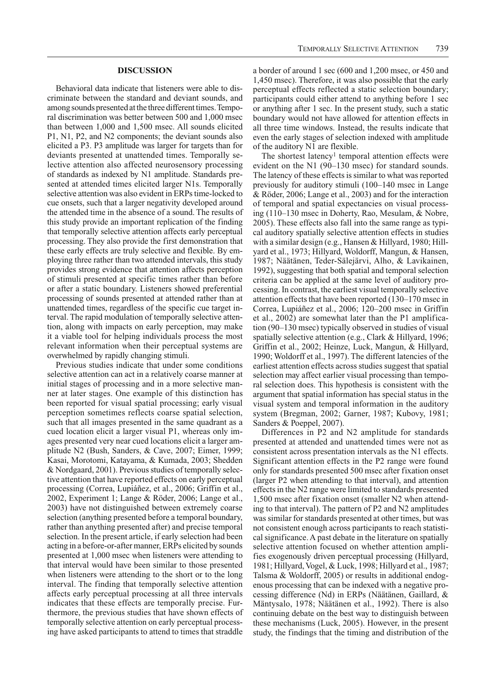## **DISCUSSION**

Behavioral data indicate that listeners were able to discriminate between the standard and deviant sounds, and among sounds presented at the three different times. Temporal discrimination was better between 500 and 1,000 msec than between 1,000 and 1,500 msec. All sounds elicited P1, N1, P2, and N2 components; the deviant sounds also elicited a P3. P3 amplitude was larger for targets than for deviants presented at unattended times. Temporally selective attention also affected neurosensory processing of standards as indexed by N1 amplitude. Standards presented at attended times elicited larger N1s. Temporally selective attention was also evident in ERPs time-locked to cue onsets, such that a larger negativity developed around the attended time in the absence of a sound. The results of this study provide an important replication of the finding that temporally selective attention affects early perceptual processing. They also provide the first demonstration that these early effects are truly selective and flexible. By employing three rather than two attended intervals, this study provides strong evidence that attention affects perception of stimuli presented at specific times rather than before or after a static boundary. Listeners showed preferential processing of sounds presented at attended rather than at unattended times, regardless of the specific cue target interval. The rapid modulation of temporally selective attention, along with impacts on early perception, may make it a viable tool for helping individuals process the most relevant information when their perceptual systems are overwhelmed by rapidly changing stimuli.

Previous studies indicate that under some conditions selective attention can act in a relatively coarse manner at initial stages of processing and in a more selective manner at later stages. One example of this distinction has been reported for visual spatial processing; early visual perception sometimes reflects coarse spatial selection, such that all images presented in the same quadrant as a cued location elicit a larger visual P1, whereas only images presented very near cued locations elicit a larger amplitude N2 (Bush, Sanders, & Cave, 2007; Eimer, 1999; Kasai, Morotomi, Katayama, & Kumada, 2003; Shedden & Nordgaard, 2001). Previous studies of temporally selective attention that have reported effects on early perceptual processing (Correa, Lupiáñez, et al., 2006; Griffin et al., 2002, Experiment 1; Lange & Röder, 2006; Lange et al., 2003) have not distinguished between extremely coarse selection (anything presented before a temporal boundary, rather than anything presented after) and precise temporal selection. In the present article, if early selection had been acting in a before-or-after manner, ERPs elicited by sounds presented at 1,000 msec when listeners were attending to that interval would have been similar to those presented when listeners were attending to the short or to the long interval. The finding that temporally selective attention affects early perceptual processing at all three intervals indicates that these effects are temporally precise. Furthermore, the previous studies that have shown effects of temporally selective attention on early perceptual processing have asked participants to attend to times that straddle

a border of around 1 sec (600 and 1,200 msec, or 450 and 1,450 msec). Therefore, it was also possible that the early perceptual effects reflected a static selection boundary; participants could either attend to anything before 1 sec or anything after 1 sec. In the present study, such a static boundary would not have allowed for attention effects in all three time windows. Instead, the results indicate that even the early stages of selection indexed with amplitude of the auditory N1 are flexible.

The shortest latency<sup>1</sup> temporal attention effects were evident on the N1 (90–130 msec) for standard sounds. The latency of these effects is similar to what was reported previously for auditory stimuli (100–140 msec in Lange & Röder, 2006; Lange et al., 2003) and for the interaction of temporal and spatial expectancies on visual processing (110–130 msec in Doherty, Rao, Mesulam, & Nobre, 2005). These effects also fall into the same range as typical auditory spatially selective attention effects in studies with a similar design (e.g., Hansen & Hillyard, 1980; Hillyard et al., 1973; Hillyard, Woldorff, Mangun, & Hansen, 1987; Näätänen, Teder-Sälejärvi, Alho, & Lavikainen, 1992), suggesting that both spatial and temporal selection criteria can be applied at the same level of auditory processing. In contrast, the earliest visual temporally selective attention effects that have been reported (130–170 msec in Correa, Lupiáñez et al., 2006; 120–200 msec in Griffin et al., 2002) are somewhat later than the P1 amplification (90–130 msec) typically observed in studies of visual spatially selective attention (e.g., Clark & Hillyard, 1996; Griffin et al., 2002; Heinze, Luck, Mangun, & Hillyard, 1990; Woldorff et al., 1997). The different latencies of the earliest attention effects across studies suggest that spatial selection may affect earlier visual processing than temporal selection does. This hypothesis is consistent with the argument that spatial information has special status in the visual system and temporal information in the auditory system (Bregman, 2002; Garner, 1987; Kubovy, 1981; Sanders & Poeppel, 2007).

Differences in P2 and N2 amplitude for standards presented at attended and unattended times were not as consistent across presentation intervals as the N1 effects. Significant attention effects in the P2 range were found only for standards presented 500 msec after fixation onset (larger P2 when attending to that interval), and attention effects in the N2 range were limited to standards presented 1,500 msec after fixation onset (smaller N2 when attending to that interval). The pattern of P2 and N2 amplitudes was similar for standards presented at other times, but was not consistent enough across participants to reach statistical significance. A past debate in the literature on spatially selective attention focused on whether attention amplifies exogenously driven perceptual processing (Hillyard, 1981; Hillyard, Vogel, & Luck, 1998; Hillyard et al., 1987; Talsma & Woldorff, 2005) or results in additional endogenous processing that can be indexed with a negative processing difference (Nd) in ERPs (Näätänen, Gaillard, & Mäntysalo, 1978; Näätänen et al., 1992). There is also continuing debate on the best way to distinguish between these mechanisms (Luck, 2005). However, in the present study, the findings that the timing and distribution of the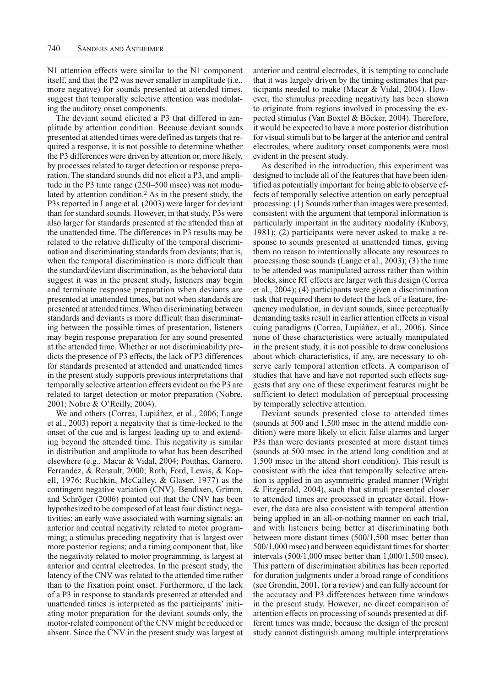N1 attention effects were similar to the N1 component itself, and that the P2 was never smaller in amplitude (i.e., more negative) for sounds presented at attended times, suggest that temporally selective attention was modulating the auditory onset components.

The deviant sound elicited a P3 that differed in amplitude by attention condition. Because deviant sounds presented at attended times were defined as targets that required a response, it is not possible to determine whether the P3 differences were driven by attention or, more likely, by processes related to target detection or response preparation. The standard sounds did not elicit a P3, and amplitude in the P3 time range (250–500 msec) was not modulated by attention condition.2 As in the present study, the P3s reported in Lange et al. (2003) were larger for deviant than for standard sounds. However, in that study, P3s were also larger for standards presented at the attended than at the unattended time. The differences in P3 results may be related to the relative difficulty of the temporal discrimination and discriminating standards from deviants; that is, when the temporal discrimination is more difficult than the standard/deviant discrimination, as the behavioral data suggest it was in the present study, listeners may begin and terminate response preparation when deviants are presented at unattended times, but not when standards are presented at attended times. When discriminating between standards and deviants is more difficult than discriminating between the possible times of presentation, listeners may begin response preparation for any sound presented at the attended time. Whether or not discriminability predicts the presence of P3 effects, the lack of P3 differences for standards presented at attended and unattended times in the present study supports previous interpretations that temporally selective attention effects evident on the P3 are related to target detection or motor preparation (Nobre, 2001; Nobre & O'Reilly, 2004).

We and others (Correa, Lupiáñez, et al., 2006; Lange et al., 2003) report a negativity that is time-locked to the onset of the cue and is largest leading up to and extending beyond the attended time. This negativity is similar in distribution and amplitude to what has been described elsewhere (e.g., Macar & Vidal, 2004; Pouthas, Garnero, Ferrandez, & Renault, 2000; Roth, Ford, Lewis, & Kopell, 1976; Ruchkin, McCalley, & Glaser, 1977) as the contingent negative variation (CNV). Bendixen, Grimm, and Schröger (2006) pointed out that the CNV has been hypothesized to be composed of at least four distinct negativities: an early wave associated with warning signals; an anterior and central negativity related to motor programming; a stimulus preceding negativity that is largest over more posterior regions; and a timing component that, like the negativity related to motor programming, is largest at anterior and central electrodes. In the present study, the latency of the CNV was related to the attended time rather than to the fixation point onset. Furthermore, if the lack of a P3 in response to standards presented at attended and unattended times is interpreted as the participants' initiating motor preparation for the deviant sounds only, the motor-related component of the CNV might be reduced or absent. Since the CNV in the present study was largest at

anterior and central electrodes, it is tempting to conclude that it was largely driven by the timing estimates that participants needed to make (Macar & Vidal, 2004). However, the stimulus preceding negativity has been shown to originate from regions involved in processing the expected stimulus (Van Boxtel & Böcker, 2004). Therefore, it would be expected to have a more posterior distribution for visual stimuli but to be larger at the anterior and central electrodes, where auditory onset components were most evident in the present study.

As described in the introduction, this experiment was designed to include all of the features that have been identified as potentially important for being able to observe effects of temporally selective attention on early perceptual processing: (1) Sounds rather than images were presented, consistent with the argument that temporal information is particularly important in the auditory modality (Kubovy, 1981); (2) participants were never asked to make a response to sounds presented at unattended times, giving them no reason to intentionally allocate any resources to processing those sounds (Lange et al., 2003); (3) the time to be attended was manipulated across rather than within blocks, since RT effects are larger with this design (Correa et al., 2004); (4) participants were given a discrimination task that required them to detect the lack of a feature, frequency modulation, in deviant sounds, since perceptually demanding tasks result in earlier attention effects in visual cuing paradigms (Correa, Lupiáñez, et al., 2006). Since none of these characteristics were actually manipulated in the present study, it is not possible to draw conclusions about which characteristics, if any, are necessary to observe early temporal attention effects. A comparison of studies that have and have not reported such effects suggests that any one of these experiment features might be sufficient to detect modulation of perceptual processing by temporally selective attention.

Deviant sounds presented close to attended times (sounds at 500 and 1,500 msec in the attend middle condition) were more likely to elicit false alarms and larger P3s than were deviants presented at more distant times (sounds at 500 msec in the attend long condition and at 1,500 msec in the attend short condition). This result is consistent with the idea that temporally selective attention is applied in an asymmetric graded manner (Wright & Fitzgerald, 2004), such that stimuli presented closer to attended times are processed in greater detail. However, the data are also consistent with temporal attention being applied in an all-or-nothing manner on each trial, and with listeners being better at discriminating both between more distant times (500/1,500 msec better than 500/1,000 msec) and between equidistant times for shorter intervals (500/1,000 msec better than 1,000/1,500 msec). This pattern of discrimination abilities has been reported for duration judgments under a broad range of conditions (see Grondin, 2001, for a review) and can fully account for the accuracy and P3 differences between time windows in the present study. However, no direct comparison of attention effects on processing of sounds presented at different times was made, because the design of the present study cannot distinguish among multiple interpretations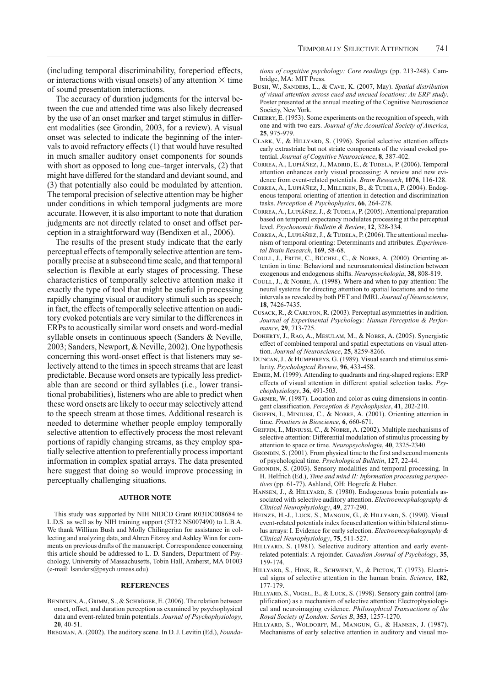(including temporal discriminability, foreperiod effects, or interactions with visual onsets) of any attention  $\times$  time of sound presentation interactions.

The accuracy of duration judgments for the interval between the cue and attended time was also likely decreased by the use of an onset marker and target stimulus in different modalities (see Grondin, 2003, for a review). A visual onset was selected to indicate the beginning of the intervals to avoid refractory effects (1) that would have resulted in much smaller auditory onset components for sounds with short as opposed to long cue–target intervals, (2) that might have differed for the standard and deviant sound, and (3) that potentially also could be modulated by attention. The temporal precision of selective attention may be higher under conditions in which temporal judgments are more accurate. However, it is also important to note that duration judgments are not directly related to onset and offset perception in a straightforward way (Bendixen et al., 2006).

The results of the present study indicate that the early perceptual effects of temporally selective attention are temporally precise at a subsecond time scale, and that temporal selection is flexible at early stages of processing. These characteristics of temporally selective attention make it exactly the type of tool that might be useful in processing rapidly changing visual or auditory stimuli such as speech; in fact, the effects of temporally selective attention on auditory evoked potentials are very similar to the differences in ERPs to acoustically similar word onsets and word-medial syllable onsets in continuous speech (Sanders & Neville, 2003; Sanders, Newport, & Neville, 2002). One hypothesis concerning this word-onset effect is that listeners may selectively attend to the times in speech streams that are least predictable. Because word onsets are typically less predictable than are second or third syllables (i.e., lower transitional probabilities), listeners who are able to predict when these word onsets are likely to occur may selectively attend to the speech stream at those times. Additional research is needed to determine whether people employ temporally selective attention to effectively process the most relevant portions of rapidly changing streams, as they employ spatially selective attention to preferentially process important information in complex spatial arrays. The data presented here suggest that doing so would improve processing in perceptually challenging situations.

#### **AUTHOR NOTE**

This study was supported by NIH NIDCD Grant R03DC008684 to L.D.S. as well as by NIH training support (5T32 NS007490) to L.B.A. We thank William Bush and Molly Chilingerian for assistance in collecting and analyzing data, and Ahren Fitzroy and Ashley Winn for comments on previous drafts of the manuscript. Correspondence concerning this article should be addressed to L. D. Sanders, Department of Psychology, University of Massachusetts, Tobin Hall, Amherst, MA 01003 (e-mail: lsanders@psych.umass.edu).

#### **REFERENCES**

- Bendixen, A., Grimm, S., & Schröger, E. (2006). The relation between onset, offset, and duration perception as examined by psychophysical data and event-related brain potentials. *Journal of Psychophysiology*, **20**, 40-51.
- Bregman, A. (2002). The auditory scene. In D. J. Levitin (Ed.), *Founda-*

*tions of cognitive psychology: Core readings* (pp. 213-248). Cambridge, MA: MIT Press.

- Bush, W., Sanders, L., & Cave, K. (2007, May). *Spatial distribution of visual attention across cued and uncued locations: An ERP study*. Poster presented at the annual meeting of the Cognitive Neuroscience Society, New York.
- Cherry, E. (1953). Some experiments on the recognition of speech, with one and with two ears. *Journal of the Acoustical Society of America*, **25**, 975-979.
- CLARK, V., & HILLYARD, S. (1996). Spatial selective attention affects early extrastriate but not striate components of the visual evoked potential. *Journal of Cognitive Neuroscience*, **8**, 387-402.
- Correa, A., Lupiáñez, J., Madrid, E., & Tudela, P. (2006). Temporal attention enhances early visual processing: A review and new evidence from event-related potentials. *Brain Research*, **1076**, 116-128.
- Correa, A., Lupiáñez, J., Milliken, B., & Tudela, P. (2004). Endogenous temporal orienting of attention in detection and discrimination tasks. *Perception & Psychophysics*, **66**, 264-278.
- CORREA, A., LUPIÁÑEZ, J., & TUDELA, P. (2005). Attentional preparation based on temporal expectancy modulates processing at the perceptual level. *Psychonomic Bulletin & Review*, **12**, 328-334.
- CORREA, A., LUPIÁÑEZ, J., & TUDELA, P. (2006). The attentional mechanism of temporal orienting: Determinants and attributes. *Experimental Brain Research*, **169**, 58-68.
- Coull, J., Frith, C., Büchel, C., & Nobre, A. (2000). Orienting attention in time: Behavioral and neuroanatomical distinction between exogenous and endogenous shifts. *Neuropsychologia*, **38**, 808-819.
- Coull, J., & Nobre, A. (1998). Where and when to pay attention: The neural systems for directing attention to spatial locations and to time intervals as revealed by both PET and fMRI. *Journal of Neuroscience*, **18**, 7426-7435.
- Cusack, R., & Carlyon, R. (2003). Perceptual asymmetries in audition. *Journal of Experimental Psychology: Human Perception & Performance*, **29**, 713-725.
- Doherty, J., Rao, A., Mesulam, M., & Nobre, A. (2005). Synergistic effect of combined temporal and spatial expectations on visual attention. *Journal of Neuroscience*, **25**, 8259-8266.
- Duncan, J., & Humphreys, G. (1989). Visual search and stimulus similarity. *Psychological Review*, **96**, 433-458.
- Eimer, M. (1999). Attending to quadrants and ring-shaped regions: ERP effects of visual attention in different spatial selection tasks. *Psychophysiology*, **36**, 491-503.
- GARNER, W. (1987). Location and color as cuing dimensions in contingent classification. *Perception & Psychophysics*, **41**, 202-210.
- Griffin, I., Miniussi, C., & Nobre, A. (2001). Orienting attention in time. *Frontiers in Bioscience*, **6**, 660-671.
- Griffin, I., Miniussi, C., & Nobre, A. (2002). Multiple mechanisms of selective attention: Differential modulation of stimulus processing by attention to space or time. *Neuropsychologia*, **40**, 2325-2340.
- GRONDIN, S. (2001). From physical time to the first and second moments of psychological time. *Psychological Bulletin*, **127**, 22-44.
- GRONDIN, S. (2003). Sensory modalities and temporal processing. In H. Helfrich (Ed.), *Time and mind II: Information processing perspectives* (pp. 61-77). Ashland, OH: Hogrefe & Huber.
- HANSEN, J., & HILLYARD, S. (1980). Endogenous brain potentials associated with selective auditory attention. *Electroencephalography & Clinical Neurophysiology*, **49**, 277-290.
- Heinze, H.-J., Luck, S., Mangun, G., & Hillyard, S. (1990). Visual event-related potentials index focused attention within bilateral stimulus arrays: I. Evidence for early selection. *Electroencephalography & Clinical Neurophysiology*, **75**, 511-527.
- HILLYARD, S. (1981). Selective auditory attention and early event related potentials: A rejoinder. *Canadian Journal of Psychology*, **35**, 159-174.
- HILLYARD, S., HINK, R., SCHWENT, V., & PICTON, T. (1973). Electrical signs of selective attention in the human brain. *Science*, **182**, 177-179.
- HILLYARD, S., VOGEL, E., & LUCK, S. (1998). Sensory gain control (amplification) as a mechanism of selective attention: Electrophysiological and neuroimaging evidence. *Philosophical Transactions of the Royal Society of London: Series B*, **353**, 1257-1270.
- Hillyard, S., Woldorff, M., Mangun, G., & Hansen, J. (1987). Mechanisms of early selective attention in auditory and visual mo-